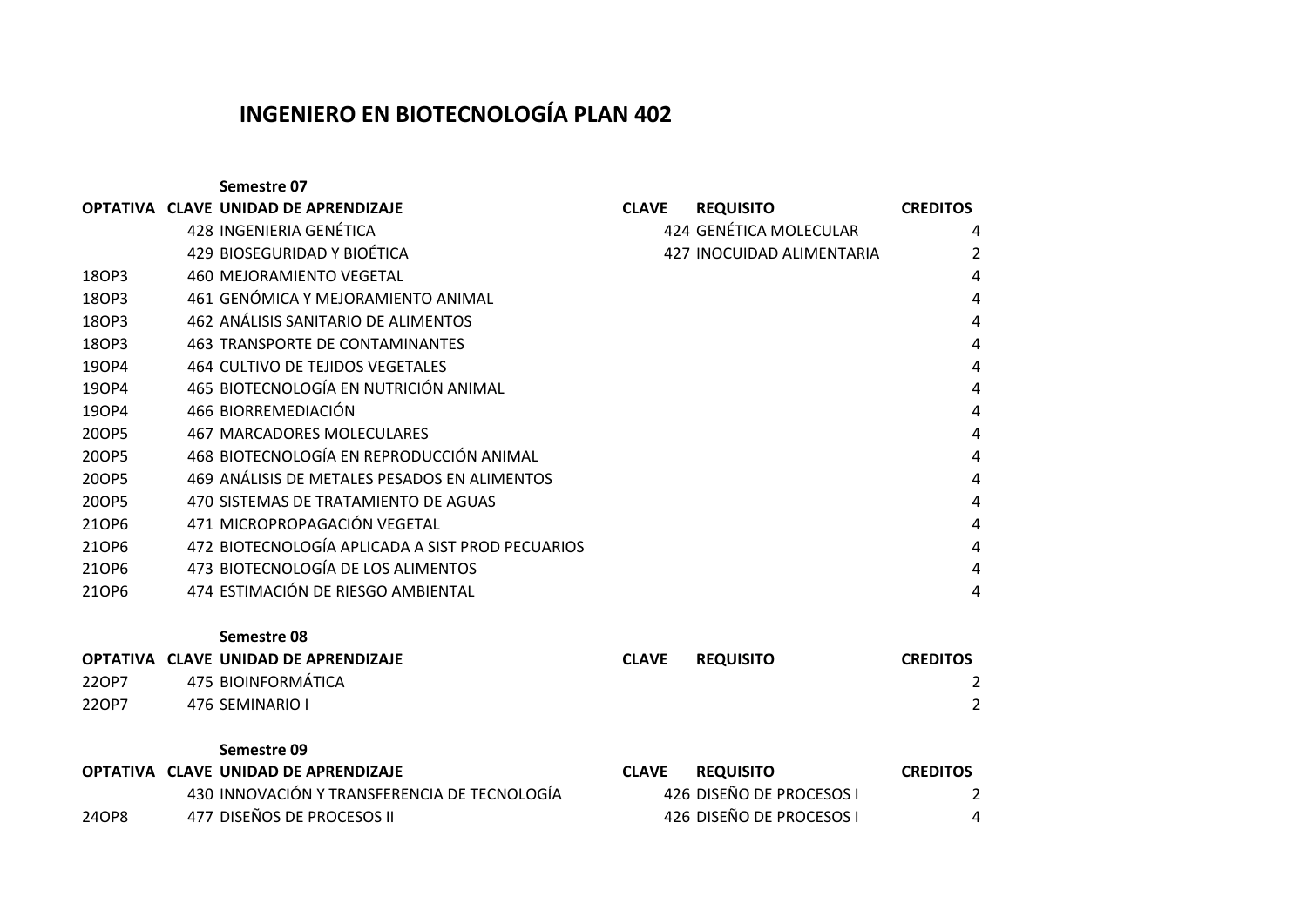## **INGENIERO EN BIOTECNOLOGÍA PLAN 402**

**Semestre 07 OPTATIVA CLAVE UNIDAD DE APRENDIZAJE CLAVE REQUISITO CREDITOS**  428 INGENIERIA GENÉTICA 424 GENÉTICA MOLECULAR 4 429 BIOSEGURIDAD Y BIOÉTICA 427 INOCUIDAD ALIMENTARIA 2 18OP3 460 MEJORAMIENTO VEGETAL 4 18OP3 461 GENÓMICA Y MEJORAMIENTO ANIMAL 4 18OP3 462 ANÁLISIS SANITARIO DE ALIMENTOS 4 18OP3 463 TRANSPORTE DE CONTAMINANTES 4 19OP4 464 CULTIVO DE TEJIDOS VEGETALES 4 19OP4 465 BIOTECNOLOGÍA EN NUTRICIÓN ANIMAL 4 19OP4 466 BIORREMEDIACIÓN 4 20OP5 467 MARCADORES MOLECULARES 4 20OP5 468 BIOTECNOLOGÍA EN REPRODUCCIÓN ANIMAL 4 20OP5 469 ANÁLISIS DE METALES PESADOS EN ALIMENTOS 4 20OP5 470 SISTEMAS DE TRATAMIENTO DE AGUAS 4 21OP6 471 MICROPROPAGACIÓN VEGETAL 4 21OP6 472 BIOTECNOLOGÍA APLICADA A SIST PROD PECUARIOS 4 21OP6 473 BIOTECNOLOGÍA DE LOS ALIMENTOS 4 21OP6 474 ESTIMACIÓN DE RIESGO AMBIENTAL 4

**Semestre 08**

|       | OPTATIVA CLAVE UNIDAD DE APRENDIZAJE | <b>CLAVE</b> | <b>REQUISITO</b> | <b>CREDITOS</b> |
|-------|--------------------------------------|--------------|------------------|-----------------|
| 22OP7 | 475 BIOINFORMÁTICA                   |              |                  |                 |
| 22OP7 | 476 SEMINARIO I                      |              |                  |                 |

**Semestre 09**

|       | OPTATIVA CLAVE UNIDAD DE APRENDIZAJE         | <b>CLAVE</b><br><b>REQUISITO</b> | <b>CREDITOS</b> |
|-------|----------------------------------------------|----------------------------------|-----------------|
|       | 430 INNOVACIÓN Y TRANSFERENCIA DE TECNOLOGÍA | 426 DISEÑO DE PROCESOS I         |                 |
| 24OP8 | 477 DISEÑOS DE PROCESOS II                   | 426 DISEÑO DE PROCESOS I         |                 |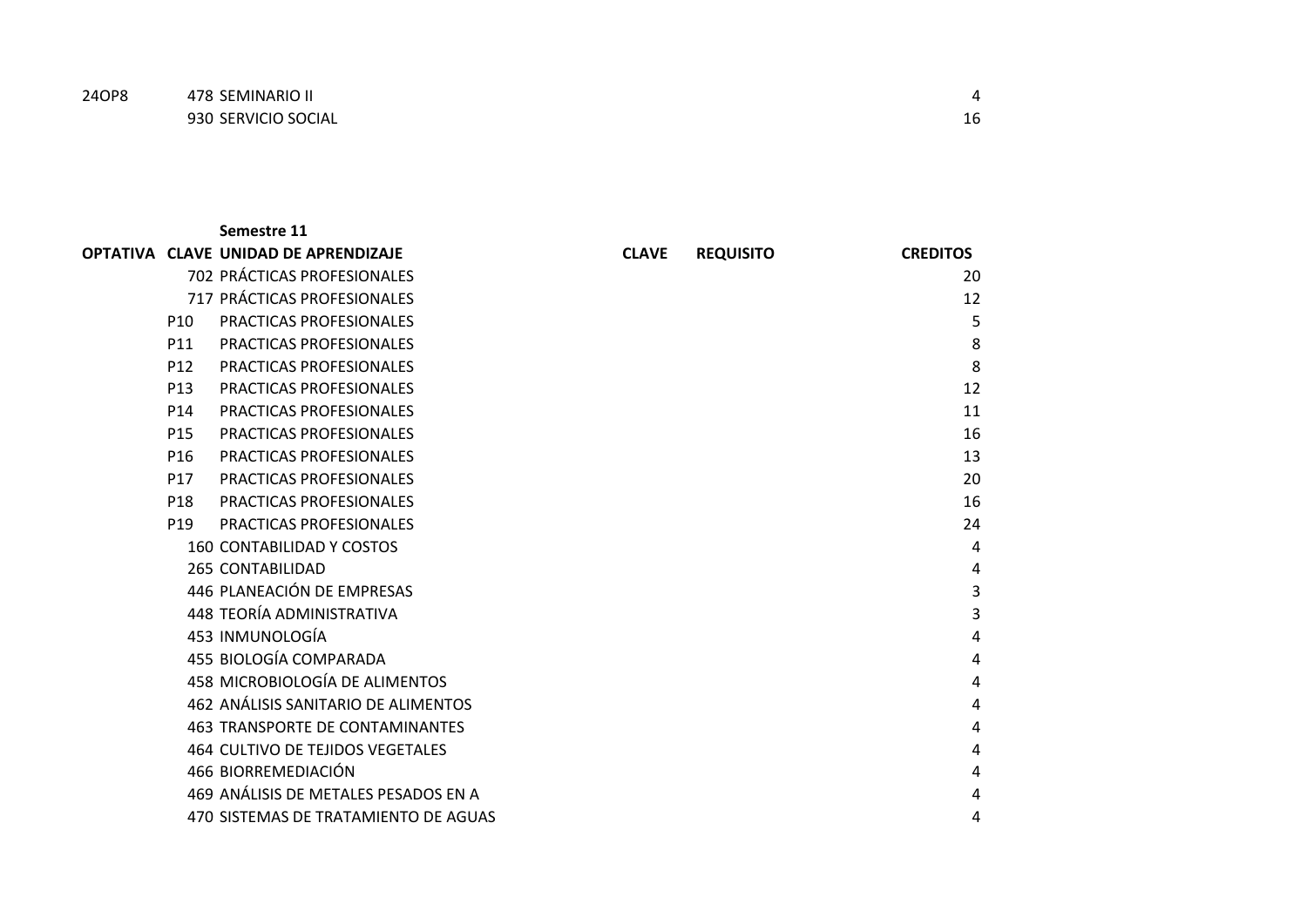| 24OP8 | 478 SEMINARIO II    |    |  |
|-------|---------------------|----|--|
|       | 930 SERVICIO SOCIAL | 16 |  |

|                 | Semestre 11                             |              |                  |                 |
|-----------------|-----------------------------------------|--------------|------------------|-----------------|
|                 | OPTATIVA CLAVE UNIDAD DE APRENDIZAJE    | <b>CLAVE</b> | <b>REQUISITO</b> | <b>CREDITOS</b> |
|                 | 702 PRÁCTICAS PROFESIONALES             |              |                  | 20              |
|                 | 717 PRÁCTICAS PROFESIONALES             |              |                  | 12              |
| P <sub>10</sub> | <b>PRACTICAS PROFESIONALES</b>          |              |                  | 5               |
| P11             | <b>PRACTICAS PROFESIONALES</b>          |              |                  | 8               |
| P <sub>12</sub> | <b>PRACTICAS PROFESIONALES</b>          |              |                  | 8               |
| P <sub>13</sub> | PRACTICAS PROFESIONALES                 |              |                  | 12              |
| P <sub>14</sub> | <b>PRACTICAS PROFESIONALES</b>          |              |                  | 11              |
| P <sub>15</sub> | <b>PRACTICAS PROFESIONALES</b>          |              |                  | 16              |
| P <sub>16</sub> | PRACTICAS PROFESIONALES                 |              |                  | 13              |
| P <sub>17</sub> | PRACTICAS PROFESIONALES                 |              |                  | 20              |
| P <sub>18</sub> | PRACTICAS PROFESIONALES                 |              |                  | 16              |
| P <sub>19</sub> | PRACTICAS PROFESIONALES                 |              |                  | 24              |
|                 | <b>160 CONTABILIDAD Y COSTOS</b>        |              |                  | 4               |
|                 | <b>265 CONTABILIDAD</b>                 |              |                  | 4               |
|                 | 446 PLANEACIÓN DE EMPRESAS              |              |                  | 3               |
|                 | 448 TEORÍA ADMINISTRATIVA               |              |                  | 3               |
|                 | 453 INMUNOLOGÍA                         |              |                  | 4               |
|                 | 455 BIOLOGÍA COMPARADA                  |              |                  | 4               |
|                 | <b>458 MICROBIOLOGÍA DE ALIMENTOS</b>   |              |                  | 4               |
|                 | 462 ANÁLISIS SANITARIO DE ALIMENTOS     |              |                  | 4               |
|                 | <b>463 TRANSPORTE DE CONTAMINANTES</b>  |              |                  | 4               |
|                 | <b>464 CULTIVO DE TEJIDOS VEGETALES</b> |              |                  | 4               |
|                 | 466 BIORREMEDIACIÓN                     |              |                  | 4               |
|                 | 469 ANÁLISIS DE METALES PESADOS EN A    |              |                  | 4               |
|                 | 470 SISTEMAS DE TRATAMIENTO DE AGUAS    |              |                  | 4               |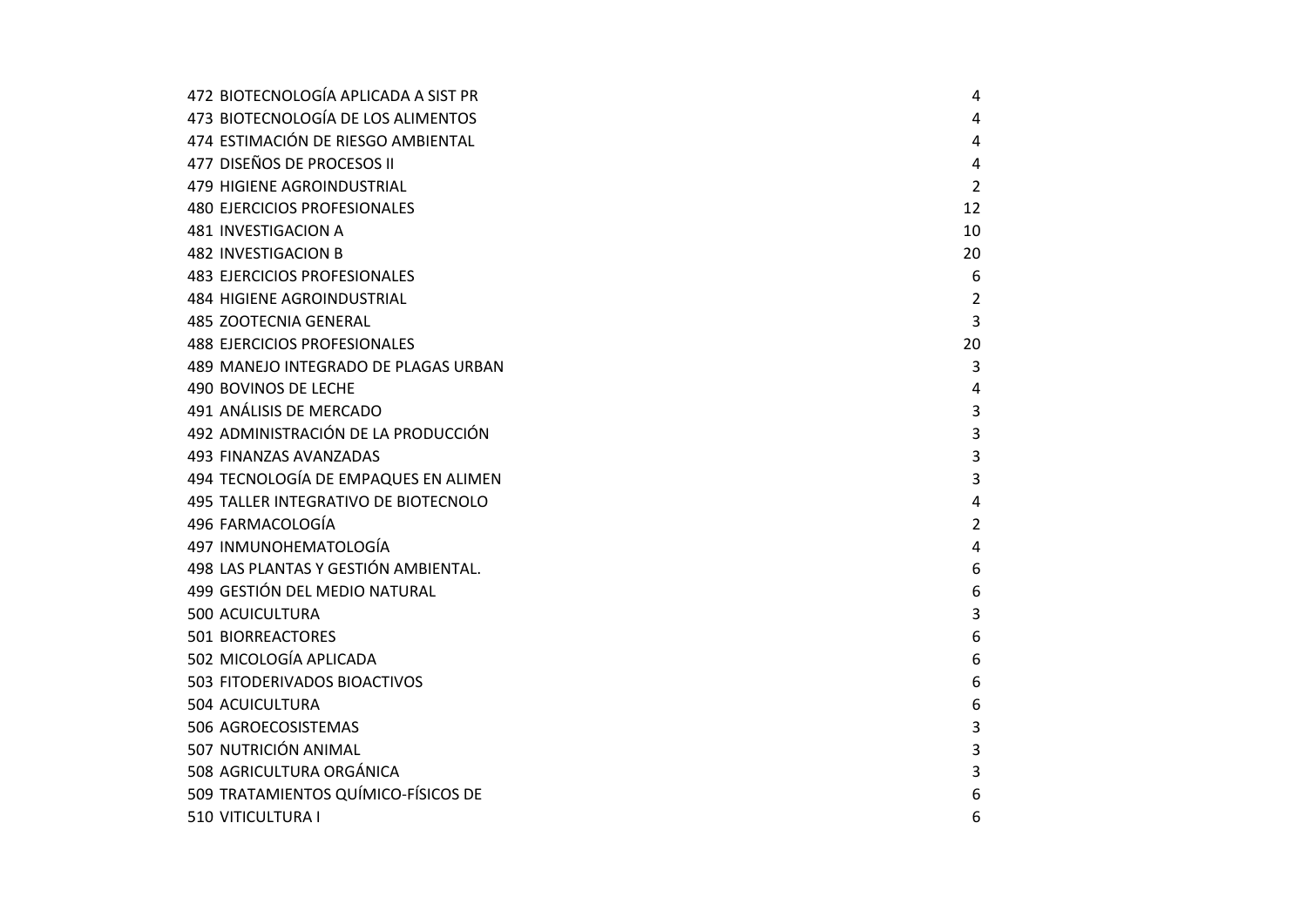| 472 BIOTECNOLOGÍA APLICADA A SIST PR | 4              |
|--------------------------------------|----------------|
| 473 BIOTECNOLOGÍA DE LOS ALIMENTOS   | 4              |
| 474 ESTIMACIÓN DE RIESGO AMBIENTAL   | 4              |
| 477 DISEÑOS DE PROCESOS II           | 4              |
| 479 HIGIENE AGROINDUSTRIAL           | 2              |
| <b>480 EJERCICIOS PROFESIONALES</b>  | 12             |
| 481 INVESTIGACION A                  | 10             |
| <b>482 INVESTIGACION B</b>           | 20             |
| <b>483 EJERCICIOS PROFESIONALES</b>  | 6              |
| <b>484 HIGIENE AGROINDUSTRIAL</b>    | $\overline{2}$ |
| <b>485 ZOOTECNIA GENERAL</b>         | 3              |
| <b>488 EJERCICIOS PROFESIONALES</b>  | 20             |
| 489 MANEJO INTEGRADO DE PLAGAS URBAN | 3              |
| <b>490 BOVINOS DE LECHE</b>          | 4              |
| 491 ANÁLISIS DE MERCADO              | 3              |
| 492 ADMINISTRACIÓN DE LA PRODUCCIÓN  | 3              |
| 493 FINANZAS AVANZADAS               | 3              |
| 494 TECNOLOGÍA DE EMPAQUES EN ALIMEN | 3              |
| 495 TALLER INTEGRATIVO DE BIOTECNOLO | 4              |
| 496 FARMACOLOGÍA                     | $\overline{2}$ |
| 497 INMUNOHEMATOLOGÍA                | 4              |
| 498 LAS PLANTAS Y GESTIÓN AMBIENTAL. | 6              |
| 499 GESTIÓN DEL MEDIO NATURAL        | 6              |
| <b>500 ACUICULTURA</b>               | 3              |
| <b>501 BIORREACTORES</b>             | 6              |
| 502 MICOLOGÍA APLICADA               | 6              |
| 503 FITODERIVADOS BIOACTIVOS         | 6              |
| 504 ACUICULTURA                      | 6              |
| 506 AGROECOSISTEMAS                  | 3              |
| 507 NUTRICIÓN ANIMAL                 | 3              |
| 508 AGRICULTURA ORGÁNICA             | 3              |
| 509 TRATAMIENTOS QUÍMICO-FÍSICOS DE  | 6              |
| 510 VITICULTURA I                    | 6              |